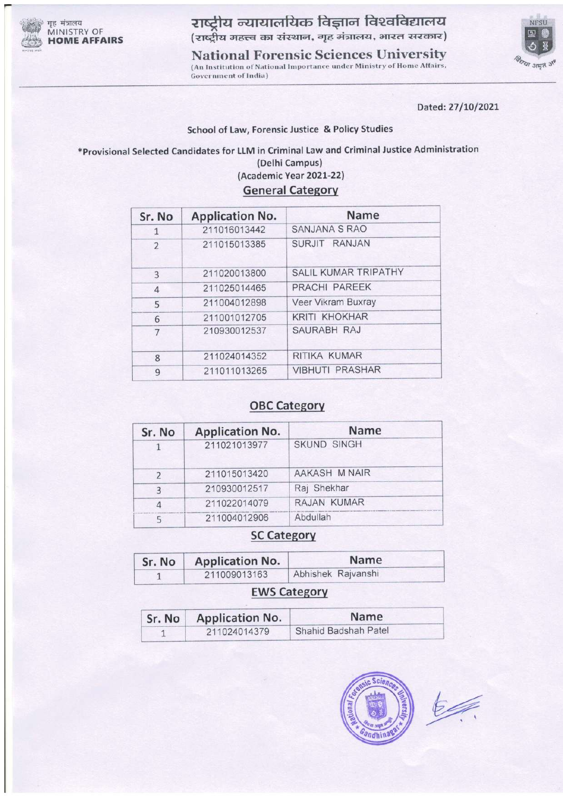

गृह मंत्रालय MINISTRY OF **HOME AFFAIRS** 

राष्ट्रीय न्यायालयिक विज्ञान विश्वविद्यालय (राष्ट्रीय महत्त्व का संस्थान, गृह मंत्रालय, भारत सरकार)

**National Forensic Sciences University** (An Institution of National Importance under Ministry of Home Affairs, Government of India)



Dated: 27/10/2021

#### School of Law, Forensic Justice & Policy Studies

\*Provisional Selected Candidates for LLM in Criminal Law and Criminal Justice Administration (Delhi Campus) (Academic Year 2021-22)

G

|  |  | <b>General Category</b> |  |  |
|--|--|-------------------------|--|--|
|  |  |                         |  |  |

| Sr. No         | <b>Application No.</b> | Name                        |
|----------------|------------------------|-----------------------------|
| 1              | 211016013442           | <b>SANJANA S RAO</b>        |
| $\overline{2}$ | 211015013385           | SURJIT RANJAN               |
| 3              | 211020013800           | <b>SALIL KUMAR TRIPATHY</b> |
| $\overline{4}$ | 211025014465           | PRACHI PAREEK               |
| 5              | 211004012898           | Veer Vikram Buxray          |
| 6              | 211001012705           | <b>KRITI KHOKHAR</b>        |
| 7              | 210930012537           | SAURABH RAJ                 |
| 8              | 211024014352           | RITIKA KUMAR                |
| 9              | 211011013265           | <b>VIBHUTI PRASHAR</b>      |

## **OBC Category**

| Sr. No        | <b>Application No.</b> | Name               |
|---------------|------------------------|--------------------|
|               | 211021013977           | <b>SKUND SINGH</b> |
| $\mathcal{P}$ | 211015013420           | AAKASH M NAIR      |
| $\mathbf{R}$  | 210930012517           | Raj Shekhar        |
|               | 211022014079           | RAJAN KUMAR        |
|               | 211004012906           | Abdullah           |

## **SC Category**

| Sr. No | <b>Application No.</b> | <b>Name</b>        |  |  |
|--------|------------------------|--------------------|--|--|
|        | 211009013163           | Abhishek Rajvanshi |  |  |

### **EWS Category**

| Sr. No | <b>Application No.</b> | <b>Name</b>          |  |
|--------|------------------------|----------------------|--|
|        | 211024014379           | Shahid Badshah Patel |  |